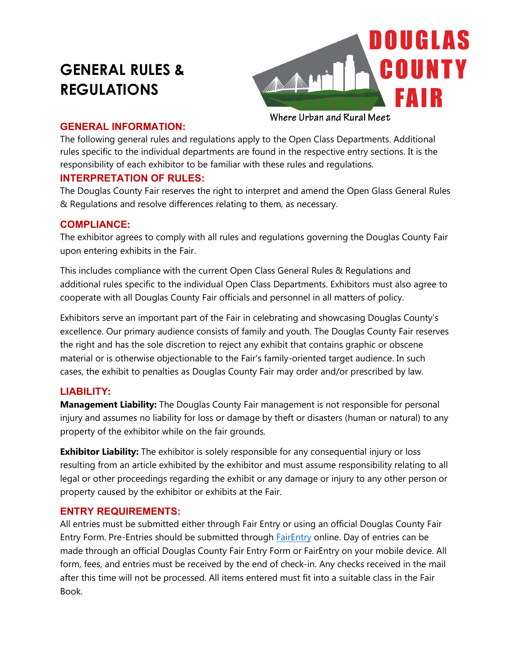# **GENERAL RULES & REGULATIONS**



### **GENERAL INFORMATION:**

The following general rules and regulations apply to the Open Class Departments. Additional rules specific to the individual departments are found in the respective entry sections. It is the responsibility of each exhibitor to be familiar with these rules and regulations.

# **INTERPRETATION OF RULES:**

The Douglas County Fair reserves the right to interpret and amend the Open Glass General Rules & Regulations and resolve differences relating to them, as necessary.

# **COMPLIANCE:**

The exhibitor agrees to comply with all rules and regulations governing the Douglas County Fair upon entering exhibits in the Fair.

This includes compliance with the current Open Class General Rules & Regulations and additional rules specific to the individual Open Class Departments. Exhibitors must also agree to cooperate with all Douglas County Fair officials and personnel in all matters of policy.

Exhibitors serve an important part of the Fair in celebrating and showcasing Douglas County's excellence. Our primary audience consists of family and youth. The Douglas County Fair reserves the right and has the sole discretion to reject any exhibit that contains graphic or obscene material or is otherwise objectionable to the Fair's family-oriented target audience. In such cases, the exhibit to penalties as Douglas County Fair may order and/or prescribed by law.

# **LIABILITY:**

**Management Liability:** The Douglas County Fair management is not responsible for personal injury and assumes no liability for loss or damage by theft or disasters (human or natural) to any property of the exhibitor while on the fair grounds.

**Exhibitor Liability:** The exhibitor is solely responsible for any consequential injury or loss resulting from an article exhibited by the exhibitor and must assume responsibility relating to all legal or other proceedings regarding the exhibit or any damage or injury to any other person or property caused by the exhibitor or exhibits at the Fair.

## **ENTRY REQUIREMENTS:**

All entries must be submitted either through Fair Entry or using an official Douglas County Fair Entry Form. Pre-Entries should be submitted through [FairEntry](https://douglascountyfair.fairentry.com/Fair/SignIn/15566) online. Day of entries can be made through an official Douglas County Fair Entry Form or FairEntry on your mobile device. All form, fees, and entries must be received by the end of check-in. Any checks received in the mail after this time will not be processed. All items entered must fit into a suitable class in the Fair Book.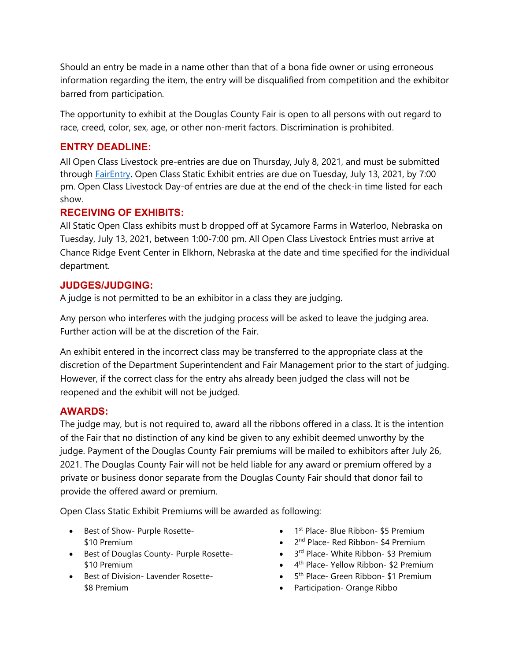Should an entry be made in a name other than that of a bona fide owner or using erroneous information regarding the item, the entry will be disqualified from competition and the exhibitor barred from participation.

The opportunity to exhibit at the Douglas County Fair is open to all persons with out regard to race, creed, color, sex, age, or other non-merit factors. Discrimination is prohibited.

## **ENTRY DEADLINE:**

All Open Class Livestock pre-entries are due on Thursday, July 8, 2021, and must be submitted through [FairEntry.](https://douglascountyfair.fairentry.com/Fair/SignIn/15566) Open Class Static Exhibit entries are due on Tuesday, July 13, 2021, by 7:00 pm. Open Class Livestock Day-of entries are due at the end of the check-in time listed for each show.

## **RECEIVING OF EXHIBITS:**

All Static Open Class exhibits must b dropped off at Sycamore Farms in Waterloo, Nebraska on Tuesday, July 13, 2021, between 1:00-7:00 pm. All Open Class Livestock Entries must arrive at Chance Ridge Event Center in Elkhorn, Nebraska at the date and time specified for the individual department.

## **JUDGES/JUDGING:**

A judge is not permitted to be an exhibitor in a class they are judging.

Any person who interferes with the judging process will be asked to leave the judging area. Further action will be at the discretion of the Fair.

An exhibit entered in the incorrect class may be transferred to the appropriate class at the discretion of the Department Superintendent and Fair Management prior to the start of judging. However, if the correct class for the entry ahs already been judged the class will not be reopened and the exhibit will not be judged.

## **AWARDS:**

The judge may, but is not required to, award all the ribbons offered in a class. It is the intention of the Fair that no distinction of any kind be given to any exhibit deemed unworthy by the judge. Payment of the Douglas County Fair premiums will be mailed to exhibitors after July 26, 2021. The Douglas County Fair will not be held liable for any award or premium offered by a private or business donor separate from the Douglas County Fair should that donor fail to provide the offered award or premium.

Open Class Static Exhibit Premiums will be awarded as following:

- Best of Show- Purple Rosette- \$10 Premium
- Best of Douglas County- Purple Rosette- \$10 Premium
- Best of Division- Lavender Rosette- \$8 Premium
- $\bullet$  1<sup>st</sup> Place- Blue Ribbon- \$5 Premium
- 2<sup>nd</sup> Place- Red Ribbon- \$4 Premium
- $\bullet$  3<sup>rd</sup> Place- White Ribbon- \$3 Premium
- 4<sup>th</sup> Place- Yellow Ribbon- \$2 Premium
- $\bullet$  5<sup>th</sup> Place- Green Ribbon- \$1 Premium
- Participation- Orange Ribbo